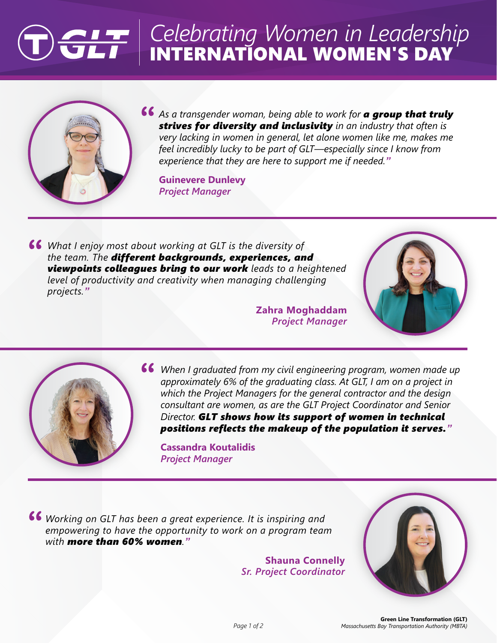## INTERNATIONAL WOMEN'S DAY *Celebrating Women in Leadership*



*As a transgender woman, being able to work for a group that truly strives for diversity and inclusivity in an industry that often is very lacking in women in general, let alone women like me, makes me feel incredibly lucky to be part of GLT—especially since I know from experience that they are here to support me if needed."*

**Guinevere Dunlevy** *Project Manager*

*What I enjoy most about working at GLT is the diversity of the team. The different backgrounds, experiences, and viewpoints colleagues bring to our work leads to a heightened level of productivity and creativity when managing challenging projects."*

> **Zahra Moghaddam** *Project Manager*





*When I graduated from my civil engineering program, women made up approximately 6% of the graduating class. At GLT, I am on a project in which the Project Managers for the general contractor and the design consultant are women, as are the GLT Project Coordinator and Senior Director. GLT shows how its support of women in technical positions reflects the makeup of the population it serves."*

**Cassandra Koutalidis** *Project Manager*

*Working on GLT has been a great experience. It is inspiring and empowering to have the opportunity to work on a program team with more than 60% women."*

> **Shauna Connelly** *Sr. Project Coordinator*